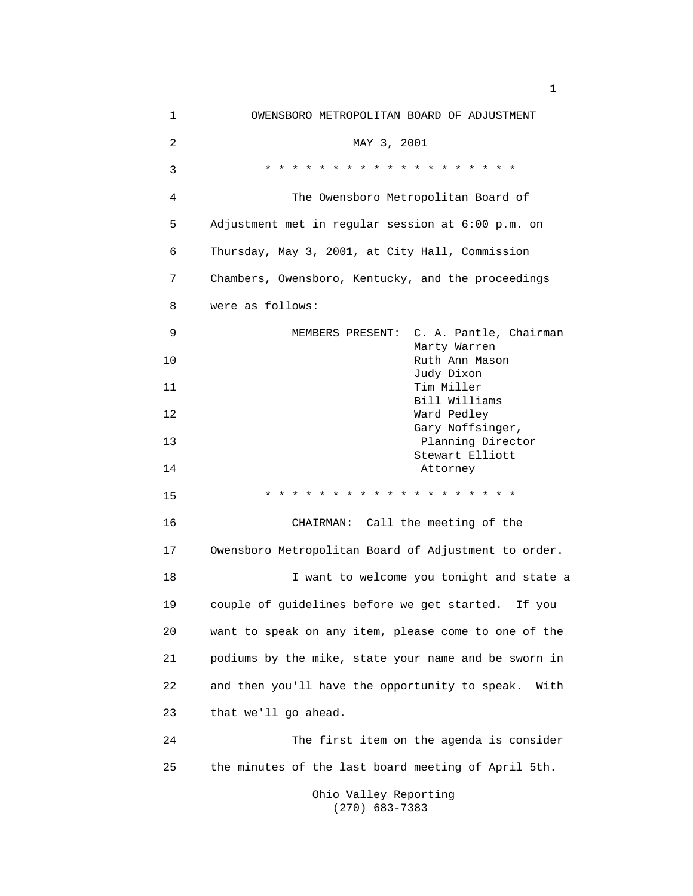| 1  | OWENSBORO METROPOLITAN BOARD OF ADJUSTMENT                                         |  |  |  |
|----|------------------------------------------------------------------------------------|--|--|--|
| 2  | MAY 3, 2001                                                                        |  |  |  |
| 3  | * * * * * * * * * * * * * * * * * * *                                              |  |  |  |
| 4  | The Owensboro Metropolitan Board of                                                |  |  |  |
| 5  | Adjustment met in regular session at 6:00 p.m. on                                  |  |  |  |
| 6  | Thursday, May 3, 2001, at City Hall, Commission                                    |  |  |  |
| 7  | Chambers, Owensboro, Kentucky, and the proceedings                                 |  |  |  |
| 8  | were as follows:                                                                   |  |  |  |
| 9  | C. A. Pantle, Chairman<br>MEMBERS PRESENT:                                         |  |  |  |
| 10 | Marty Warren<br>Ruth Ann Mason                                                     |  |  |  |
| 11 | Judy Dixon<br>Tim Miller                                                           |  |  |  |
| 12 | Bill Williams<br>Ward Pedley                                                       |  |  |  |
| 13 | Gary Noffsinger,<br>Planning Director                                              |  |  |  |
| 14 | Stewart Elliott<br>Attorney                                                        |  |  |  |
| 15 | * * * * * * * * *<br>$\star$<br>$\star$<br>$\star$<br>$\ast$<br>$\star$<br>$\star$ |  |  |  |
| 16 | CHAIRMAN: Call the meeting of the                                                  |  |  |  |
| 17 | Owensboro Metropolitan Board of Adjustment to order.                               |  |  |  |
| 18 | I want to welcome you tonight and state a                                          |  |  |  |
| 19 | couple of guidelines before we get started. If you                                 |  |  |  |
| 20 | want to speak on any item, please come to one of the                               |  |  |  |
| 21 | podiums by the mike, state your name and be sworn in                               |  |  |  |
| 22 | and then you'll have the opportunity to speak. With                                |  |  |  |
| 23 | that we'll go ahead.                                                               |  |  |  |
| 24 | The first item on the agenda is consider                                           |  |  |  |
| 25 | the minutes of the last board meeting of April 5th.                                |  |  |  |
|    | Ohio Valley Reporting                                                              |  |  |  |

(270) 683-7383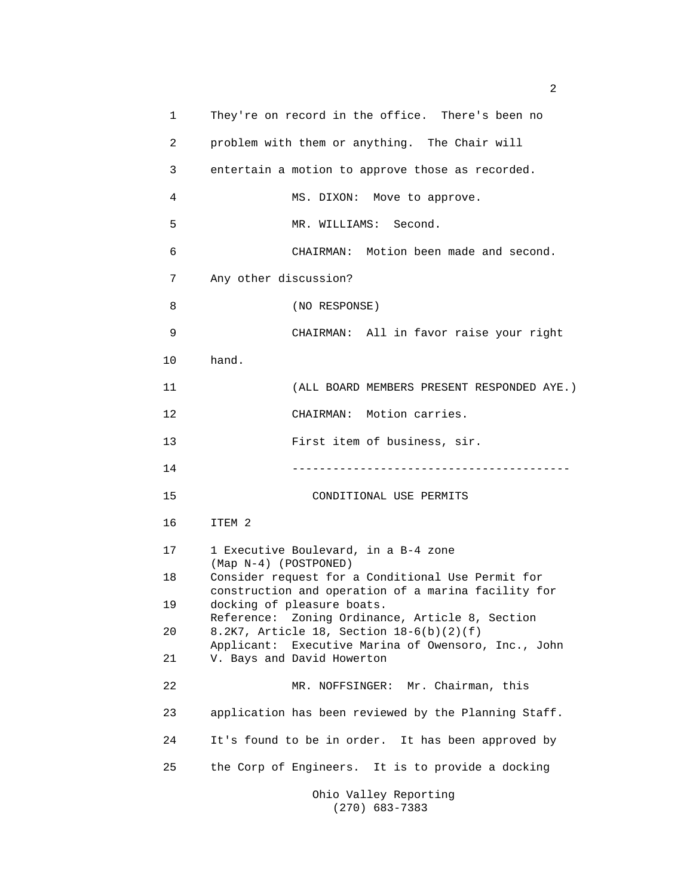| 1  | They're on record in the office. There's been no                                                         |  |  |
|----|----------------------------------------------------------------------------------------------------------|--|--|
| 2  | problem with them or anything. The Chair will                                                            |  |  |
| 3  | entertain a motion to approve those as recorded.                                                         |  |  |
| 4  | MS. DIXON: Move to approve.                                                                              |  |  |
| 5  | MR. WILLIAMS: Second.                                                                                    |  |  |
| 6  | CHAIRMAN: Motion been made and second.                                                                   |  |  |
| 7  | Any other discussion?                                                                                    |  |  |
| 8  | (NO RESPONSE)                                                                                            |  |  |
| 9  | CHAIRMAN: All in favor raise your right                                                                  |  |  |
| 10 | hand.                                                                                                    |  |  |
| 11 | (ALL BOARD MEMBERS PRESENT RESPONDED AYE.)                                                               |  |  |
| 12 | CHAIRMAN: Motion carries.                                                                                |  |  |
| 13 | First item of business, sir.                                                                             |  |  |
| 14 |                                                                                                          |  |  |
| 15 | CONDITIONAL USE PERMITS                                                                                  |  |  |
| 16 | ITEM 2                                                                                                   |  |  |
| 17 | 1 Executive Boulevard, in a B-4 zone<br>(Map N-4) (POSTPONED)                                            |  |  |
| 18 | Consider request for a Conditional Use Permit for<br>construction and operation of a marina facility for |  |  |
| 19 | docking of pleasure boats.<br>Reference: Zoning Ordinance, Article 8, Section                            |  |  |
| 20 | 8.2K7, Article 18, Section 18-6(b)(2)(f)<br>Applicant: Executive Marina of Owensoro, Inc., John          |  |  |
| 21 | V. Bays and David Howerton                                                                               |  |  |
| 22 | MR. NOFFSINGER: Mr. Chairman, this                                                                       |  |  |
| 23 | application has been reviewed by the Planning Staff.                                                     |  |  |
| 24 | It's found to be in order. It has been approved by                                                       |  |  |
| 25 | the Corp of Engineers. It is to provide a docking                                                        |  |  |
|    | Ohio Valley Reporting                                                                                    |  |  |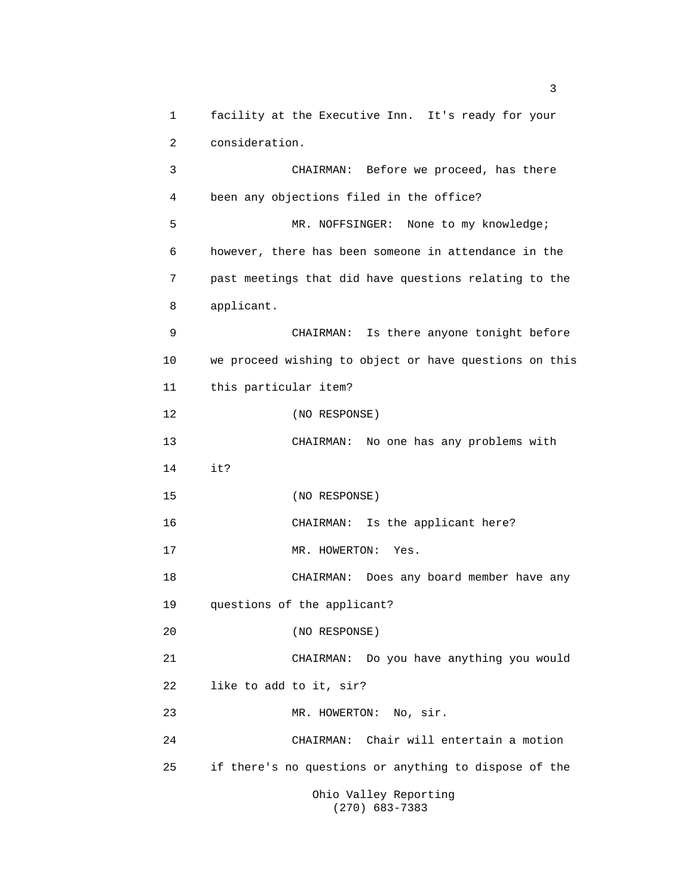1 facility at the Executive Inn. It's ready for your 2 consideration. 3 CHAIRMAN: Before we proceed, has there 4 been any objections filed in the office? 5 MR. NOFFSINGER: None to my knowledge; 6 however, there has been someone in attendance in the 7 past meetings that did have questions relating to the 8 applicant. 9 CHAIRMAN: Is there anyone tonight before 10 we proceed wishing to object or have questions on this 11 this particular item? 12 (NO RESPONSE) 13 CHAIRMAN: No one has any problems with 14 it? 15 (NO RESPONSE) 16 CHAIRMAN: Is the applicant here? 17 MR. HOWERTON: Yes. 18 CHAIRMAN: Does any board member have any 19 questions of the applicant? 20 (NO RESPONSE) 21 CHAIRMAN: Do you have anything you would 22 like to add to it, sir? 23 MR. HOWERTON: No, sir. 24 CHAIRMAN: Chair will entertain a motion 25 if there's no questions or anything to dispose of the Ohio Valley Reporting (270) 683-7383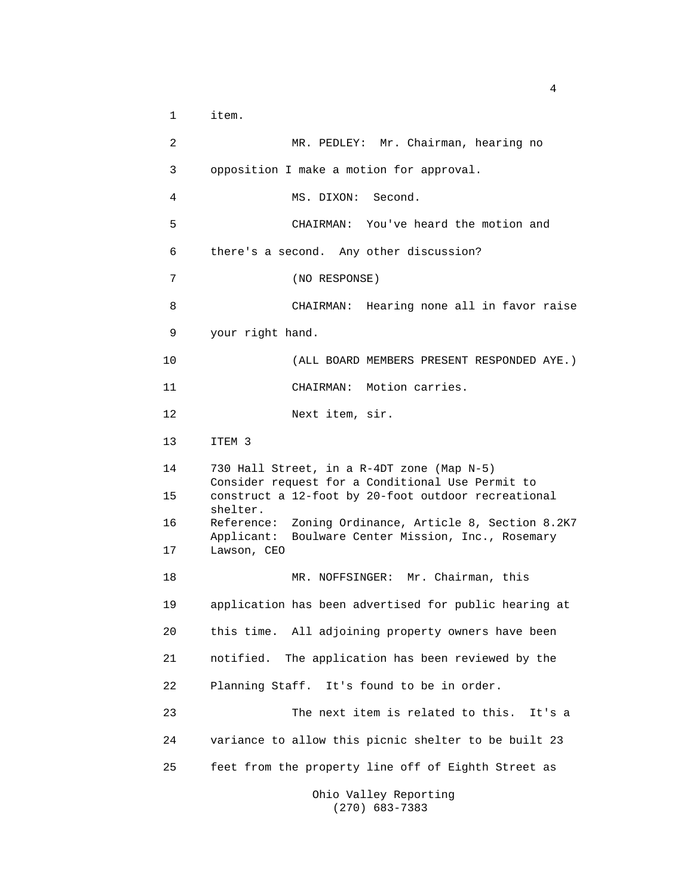1 item. 2 MR. PEDLEY: Mr. Chairman, hearing no 3 opposition I make a motion for approval. 4 MS. DIXON: Second. 5 CHAIRMAN: You've heard the motion and 6 there's a second. Any other discussion? 7 (NO RESPONSE) 8 CHAIRMAN: Hearing none all in favor raise 9 your right hand. 10 (ALL BOARD MEMBERS PRESENT RESPONDED AYE.) 11 CHAIRMAN: Motion carries. 12 Next item, sir. 13 ITEM 3 14 730 Hall Street, in a R-4DT zone (Map N-5) Consider request for a Conditional Use Permit to 15 construct a 12-foot by 20-foot outdoor recreational shelter. 16 Reference: Zoning Ordinance, Article 8, Section 8.2K7 Applicant: Boulware Center Mission, Inc., Rosemary 17 Lawson, CEO 18 MR. NOFFSINGER: Mr. Chairman, this 19 application has been advertised for public hearing at 20 this time. All adjoining property owners have been 21 notified. The application has been reviewed by the 22 Planning Staff. It's found to be in order. 23 The next item is related to this. It's a 24 variance to allow this picnic shelter to be built 23 25 feet from the property line off of Eighth Street as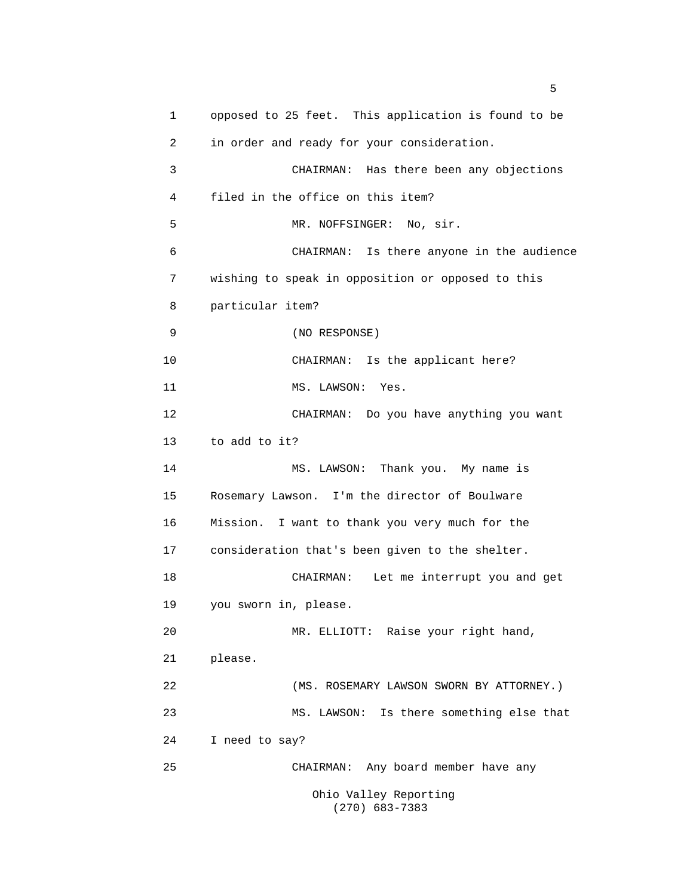1 opposed to 25 feet. This application is found to be 2 in order and ready for your consideration. 3 CHAIRMAN: Has there been any objections 4 filed in the office on this item? 5 MR. NOFFSINGER: No, sir. 6 CHAIRMAN: Is there anyone in the audience 7 wishing to speak in opposition or opposed to this 8 particular item? 9 (NO RESPONSE) 10 CHAIRMAN: Is the applicant here? 11 MS. LAWSON: Yes. 12 CHAIRMAN: Do you have anything you want 13 to add to it? 14 MS. LAWSON: Thank you. My name is 15 Rosemary Lawson. I'm the director of Boulware 16 Mission. I want to thank you very much for the 17 consideration that's been given to the shelter. 18 CHAIRMAN: Let me interrupt you and get 19 you sworn in, please. 20 MR. ELLIOTT: Raise your right hand, 21 please. 22 (MS. ROSEMARY LAWSON SWORN BY ATTORNEY.) 23 MS. LAWSON: Is there something else that 24 I need to say? 25 CHAIRMAN: Any board member have any Ohio Valley Reporting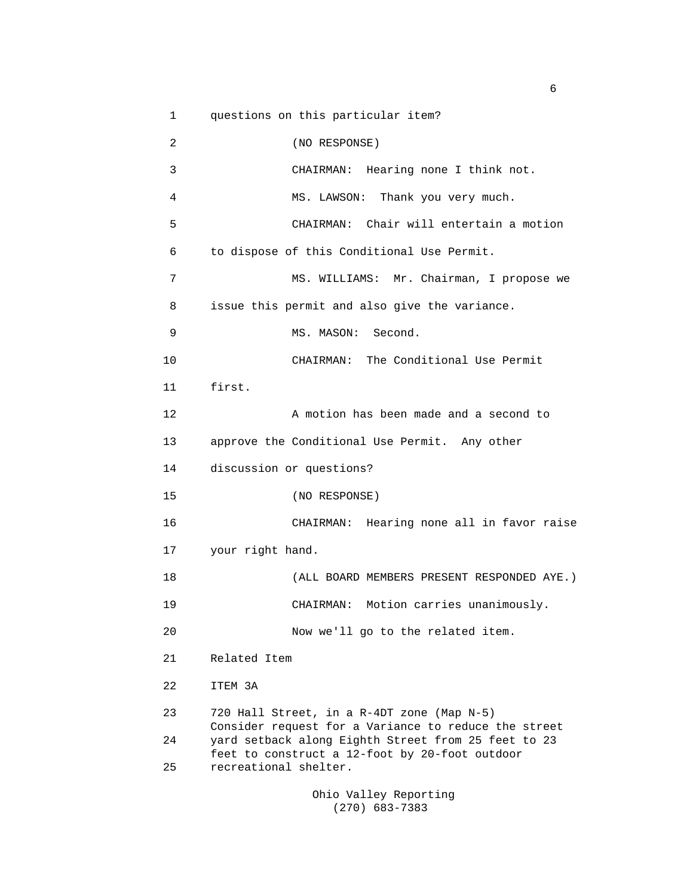1 questions on this particular item? 2 (NO RESPONSE) 3 CHAIRMAN: Hearing none I think not. 4 MS. LAWSON: Thank you very much. 5 CHAIRMAN: Chair will entertain a motion 6 to dispose of this Conditional Use Permit. 7 MS. WILLIAMS: Mr. Chairman, I propose we 8 issue this permit and also give the variance. 9 MS. MASON: Second. 10 CHAIRMAN: The Conditional Use Permit 11 first. 12 A motion has been made and a second to 13 approve the Conditional Use Permit. Any other 14 discussion or questions? 15 (NO RESPONSE) 16 CHAIRMAN: Hearing none all in favor raise 17 your right hand. 18 (ALL BOARD MEMBERS PRESENT RESPONDED AYE.) 19 CHAIRMAN: Motion carries unanimously. 20 Now we'll go to the related item. 21 Related Item 22 ITEM 3A 23 720 Hall Street, in a R-4DT zone (Map N-5) Consider request for a Variance to reduce the street 24 yard setback along Eighth Street from 25 feet to 23 feet to construct a 12-foot by 20-foot outdoor 25 recreational shelter.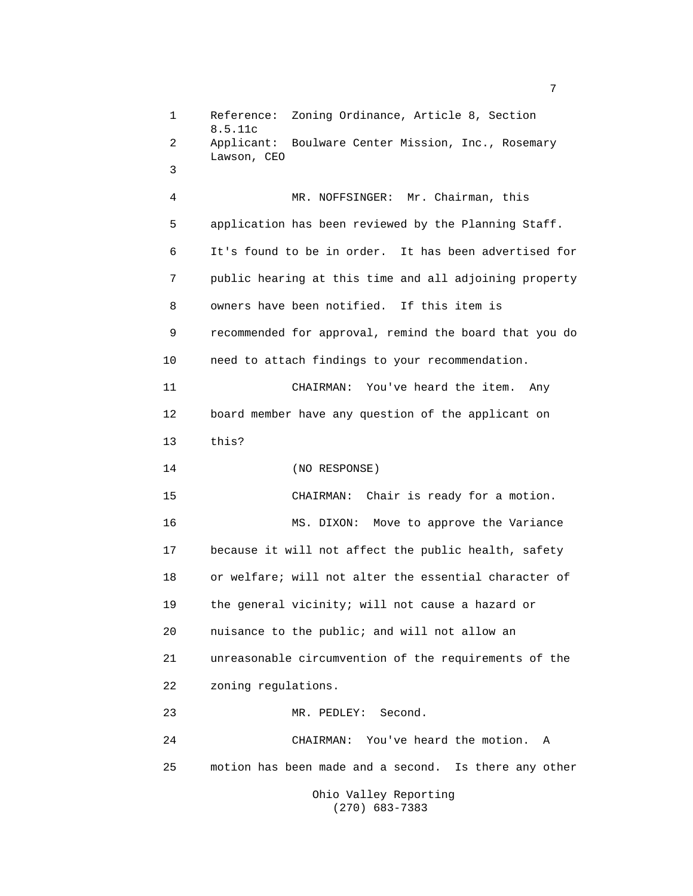1 Reference: Zoning Ordinance, Article 8, Section 8.5.11c 2 Applicant: Boulware Center Mission, Inc., Rosemary Lawson, CEO 3 4 MR. NOFFSINGER: Mr. Chairman, this 5 application has been reviewed by the Planning Staff. 6 It's found to be in order. It has been advertised for 7 public hearing at this time and all adjoining property 8 owners have been notified. If this item is 9 recommended for approval, remind the board that you do 10 need to attach findings to your recommendation. 11 CHAIRMAN: You've heard the item. Any 12 board member have any question of the applicant on 13 this? 14 (NO RESPONSE) 15 CHAIRMAN: Chair is ready for a motion. 16 MS. DIXON: Move to approve the Variance 17 because it will not affect the public health, safety 18 or welfare; will not alter the essential character of 19 the general vicinity; will not cause a hazard or 20 nuisance to the public; and will not allow an 21 unreasonable circumvention of the requirements of the 22 zoning regulations. 23 MR. PEDLEY: Second. 24 CHAIRMAN: You've heard the motion. A 25 motion has been made and a second. Is there any other Ohio Valley Reporting

(270) 683-7383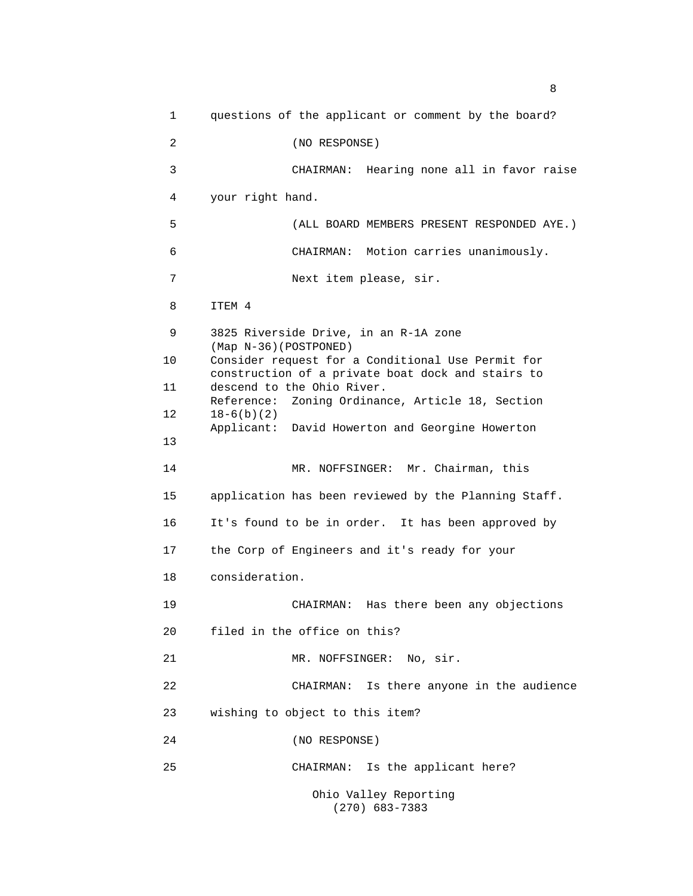1 questions of the applicant or comment by the board? 2 (NO RESPONSE) 3 CHAIRMAN: Hearing none all in favor raise 4 your right hand. 5 (ALL BOARD MEMBERS PRESENT RESPONDED AYE.) 6 CHAIRMAN: Motion carries unanimously. 7 Next item please, sir. 8 ITEM 4 9 3825 Riverside Drive, in an R-1A zone (Map N-36)(POSTPONED) 10 Consider request for a Conditional Use Permit for construction of a private boat dock and stairs to 11 descend to the Ohio River. Reference: Zoning Ordinance, Article 18, Section 12 18-6(b)(2) Applicant: David Howerton and Georgine Howerton 13 14 MR. NOFFSINGER: Mr. Chairman, this 15 application has been reviewed by the Planning Staff. 16 It's found to be in order. It has been approved by 17 the Corp of Engineers and it's ready for your 18 consideration. 19 CHAIRMAN: Has there been any objections 20 filed in the office on this? 21 MR. NOFFSINGER: No, sir. 22 CHAIRMAN: Is there anyone in the audience 23 wishing to object to this item? 24 (NO RESPONSE) 25 CHAIRMAN: Is the applicant here? Ohio Valley Reporting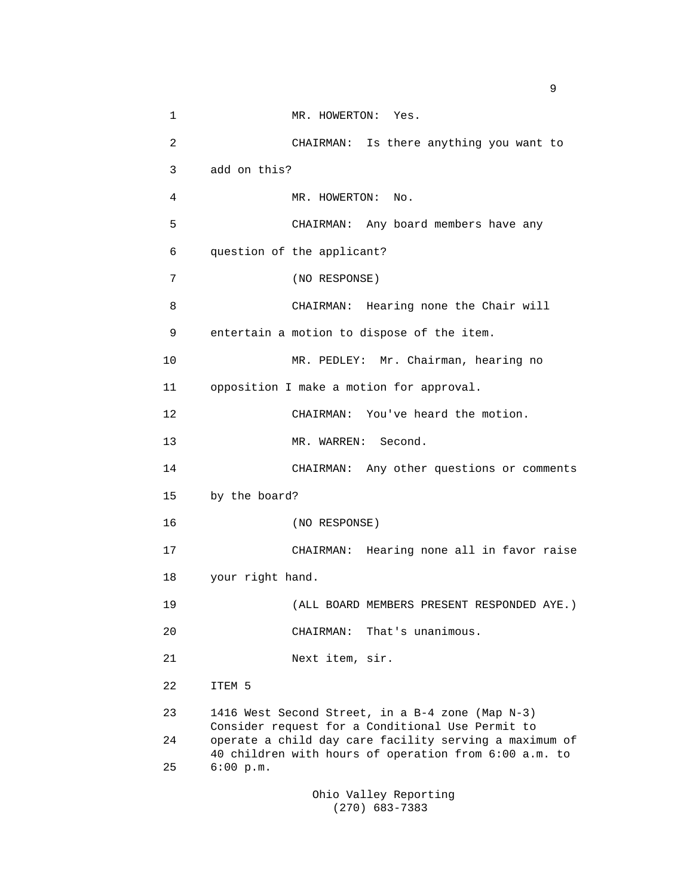| 1  | MR. HOWERTON: Yes.                                                                                              |  |  |
|----|-----------------------------------------------------------------------------------------------------------------|--|--|
| 2  | CHAIRMAN: Is there anything you want to                                                                         |  |  |
| 3  | add on this?                                                                                                    |  |  |
| 4  | MR. HOWERTON: No.                                                                                               |  |  |
| 5  | CHAIRMAN: Any board members have any                                                                            |  |  |
| 6  | question of the applicant?                                                                                      |  |  |
| 7  | (NO RESPONSE)                                                                                                   |  |  |
| 8  | CHAIRMAN: Hearing none the Chair will                                                                           |  |  |
| 9  | entertain a motion to dispose of the item.                                                                      |  |  |
| 10 | MR. PEDLEY: Mr. Chairman, hearing no                                                                            |  |  |
| 11 | opposition I make a motion for approval.                                                                        |  |  |
| 12 | CHAIRMAN: You've heard the motion.                                                                              |  |  |
| 13 | MR. WARREN: Second.                                                                                             |  |  |
| 14 | CHAIRMAN: Any other questions or comments                                                                       |  |  |
| 15 | by the board?                                                                                                   |  |  |
| 16 | (NO RESPONSE)                                                                                                   |  |  |
| 17 | CHAIRMAN: Hearing none all in favor raise                                                                       |  |  |
| 18 | your right hand.                                                                                                |  |  |
| 19 | (ALL BOARD MEMBERS PRESENT RESPONDED AYE.)                                                                      |  |  |
| 20 | CHAIRMAN: That's unanimous.                                                                                     |  |  |
| 21 | Next item, sir.                                                                                                 |  |  |
| 22 | ITEM 5                                                                                                          |  |  |
| 23 | 1416 West Second Street, in a B-4 zone (Map N-3)<br>Consider request for a Conditional Use Permit to            |  |  |
| 24 | operate a child day care facility serving a maximum of<br>40 children with hours of operation from 6:00 a.m. to |  |  |
| 25 | $6:00$ p.m.                                                                                                     |  |  |
|    |                                                                                                                 |  |  |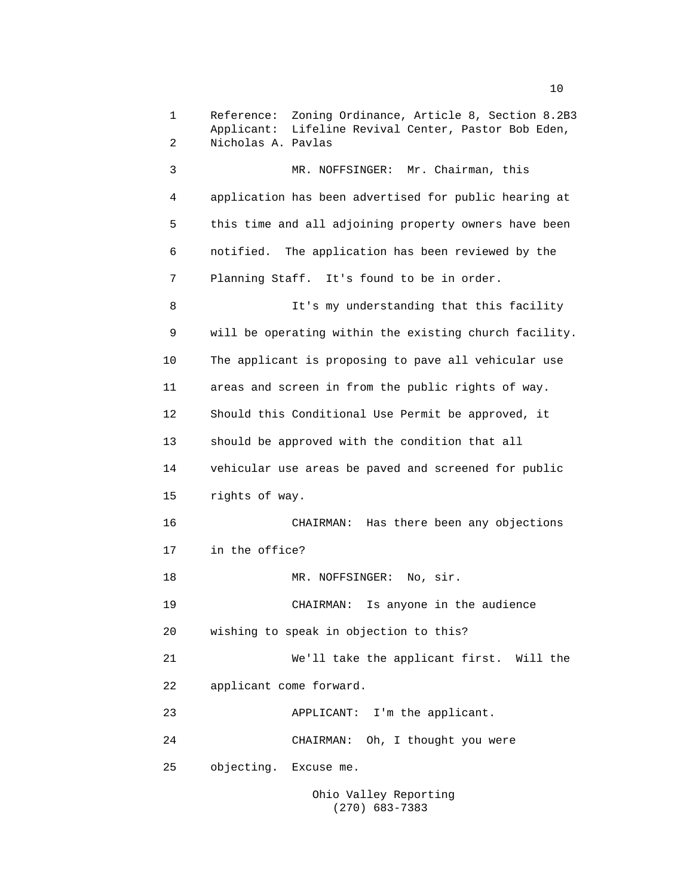1 Reference: Zoning Ordinance, Article 8, Section 8.2B3 Applicant: Lifeline Revival Center, Pastor Bob Eden, 2 Nicholas A. Pavlas 3 MR. NOFFSINGER: Mr. Chairman, this 4 application has been advertised for public hearing at 5 this time and all adjoining property owners have been 6 notified. The application has been reviewed by the 7 Planning Staff. It's found to be in order. 8 It's my understanding that this facility 9 will be operating within the existing church facility. 10 The applicant is proposing to pave all vehicular use 11 areas and screen in from the public rights of way. 12 Should this Conditional Use Permit be approved, it 13 should be approved with the condition that all 14 vehicular use areas be paved and screened for public 15 rights of way. 16 CHAIRMAN: Has there been any objections 17 in the office? 18 MR. NOFFSINGER: No, sir. 19 CHAIRMAN: Is anyone in the audience 20 wishing to speak in objection to this? 21 We'll take the applicant first. Will the 22 applicant come forward. 23 APPLICANT: I'm the applicant. 24 CHAIRMAN: Oh, I thought you were 25 objecting. Excuse me. Ohio Valley Reporting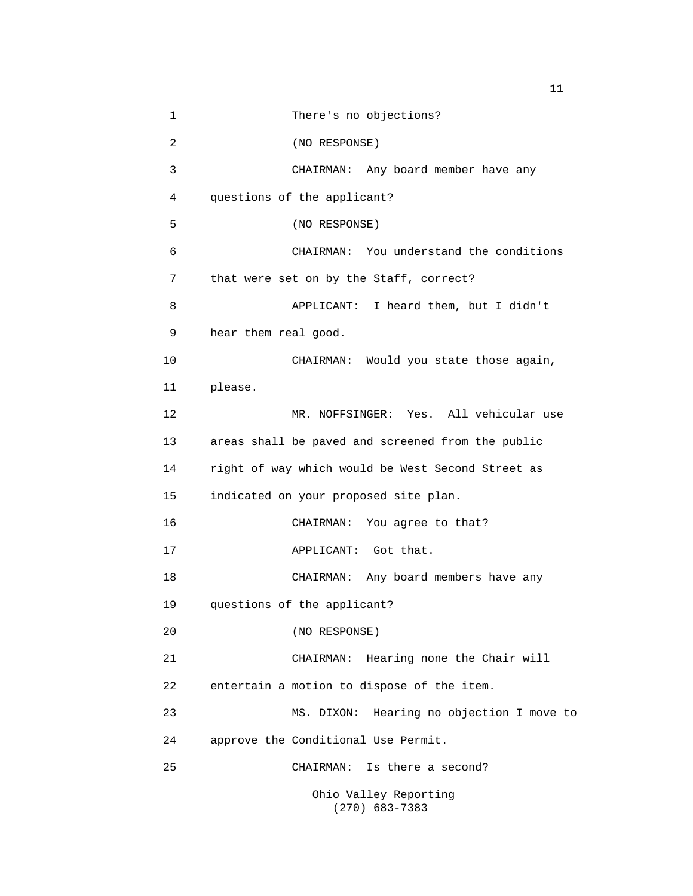| 1  | There's no objections?                            |  |  |  |
|----|---------------------------------------------------|--|--|--|
| 2  | (NO RESPONSE)                                     |  |  |  |
| 3  | CHAIRMAN: Any board member have any               |  |  |  |
| 4  | questions of the applicant?                       |  |  |  |
| 5  | (NO RESPONSE)                                     |  |  |  |
| 6  | CHAIRMAN: You understand the conditions           |  |  |  |
| 7  | that were set on by the Staff, correct?           |  |  |  |
| 8  | I heard them, but I didn't<br>APPLICANT:          |  |  |  |
| 9  | hear them real good.                              |  |  |  |
| 10 | CHAIRMAN: Would you state those again,            |  |  |  |
| 11 | please.                                           |  |  |  |
| 12 | MR. NOFFSINGER: Yes. All vehicular use            |  |  |  |
| 13 | areas shall be paved and screened from the public |  |  |  |
| 14 | right of way which would be West Second Street as |  |  |  |
| 15 | indicated on your proposed site plan.             |  |  |  |
| 16 | You agree to that?<br>CHAIRMAN:                   |  |  |  |
| 17 | APPLICANT: Got that.                              |  |  |  |
| 18 | CHAIRMAN: Any board members have any              |  |  |  |
| 19 | questions of the applicant?                       |  |  |  |
| 20 | (NO RESPONSE)                                     |  |  |  |
| 21 | CHAIRMAN: Hearing none the Chair will             |  |  |  |
| 22 | entertain a motion to dispose of the item.        |  |  |  |
| 23 | Hearing no objection I move to<br>MS. DIXON:      |  |  |  |
| 24 | approve the Conditional Use Permit.               |  |  |  |
| 25 | CHAIRMAN: Is there a second?                      |  |  |  |
|    | Ohio Valley Reporting<br>$(270)$ 683-7383         |  |  |  |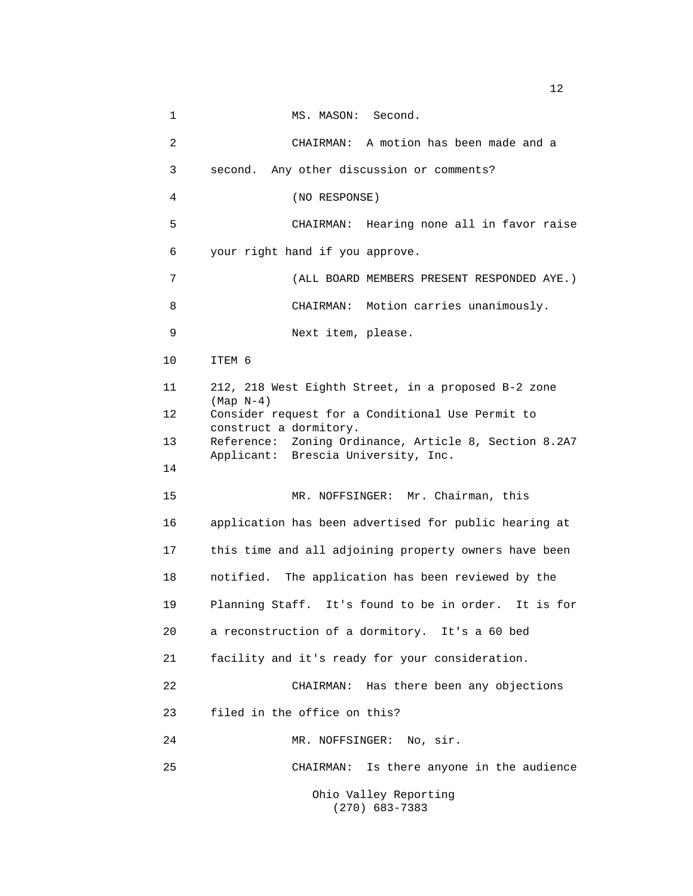| 1  | MS. MASON: Second.                                                                           |  |  |  |
|----|----------------------------------------------------------------------------------------------|--|--|--|
| 2  | CHAIRMAN: A motion has been made and a                                                       |  |  |  |
| 3  | second. Any other discussion or comments?                                                    |  |  |  |
| 4  | (NO RESPONSE)                                                                                |  |  |  |
| 5  | CHAIRMAN: Hearing none all in favor raise                                                    |  |  |  |
| 6  | your right hand if you approve.                                                              |  |  |  |
| 7  | (ALL BOARD MEMBERS PRESENT RESPONDED AYE.)                                                   |  |  |  |
| 8  | CHAIRMAN: Motion carries unanimously.                                                        |  |  |  |
| 9  | Next item, please.                                                                           |  |  |  |
| 10 | ITEM 6                                                                                       |  |  |  |
| 11 | 212, 218 West Eighth Street, in a proposed B-2 zone<br>$(Map N-4)$                           |  |  |  |
| 12 | Consider request for a Conditional Use Permit to<br>construct a dormitory.                   |  |  |  |
| 13 | Reference: Zoning Ordinance, Article 8, Section 8.2A7<br>Applicant: Brescia University, Inc. |  |  |  |
| 14 |                                                                                              |  |  |  |
| 15 | MR. NOFFSINGER: Mr. Chairman, this                                                           |  |  |  |
| 16 | application has been advertised for public hearing at                                        |  |  |  |
| 17 | this time and all adjoining property owners have been                                        |  |  |  |
| 18 | notified. The application has been reviewed by the                                           |  |  |  |
| 19 | Planning Staff. It's found to be in order. It is for                                         |  |  |  |
| 20 | a reconstruction of a dormitory. It's a 60 bed                                               |  |  |  |
| 21 | facility and it's ready for your consideration.                                              |  |  |  |
| 22 | CHAIRMAN: Has there been any objections                                                      |  |  |  |
| 23 | filed in the office on this?                                                                 |  |  |  |
| 24 | No, sir.<br>MR. NOFFSINGER:                                                                  |  |  |  |
| 25 | Is there anyone in the audience<br>CHAIRMAN:                                                 |  |  |  |
|    | Ohio Valley Reporting<br>$(270)$ 683-7383                                                    |  |  |  |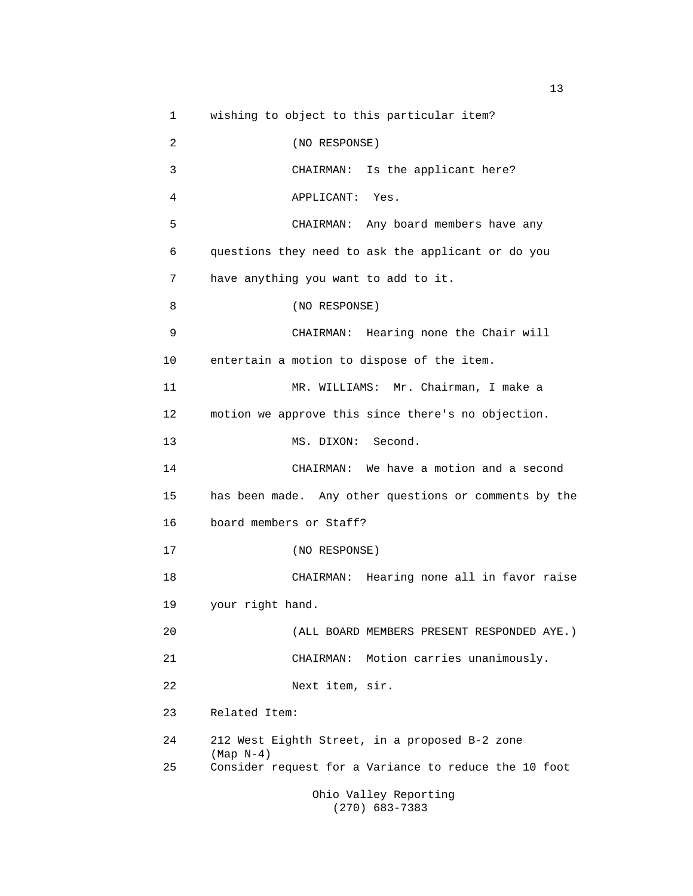1 wishing to object to this particular item? 2 (NO RESPONSE) 3 CHAIRMAN: Is the applicant here? 4 APPLICANT: Yes. 5 CHAIRMAN: Any board members have any 6 questions they need to ask the applicant or do you 7 have anything you want to add to it. 8 (NO RESPONSE) 9 CHAIRMAN: Hearing none the Chair will 10 entertain a motion to dispose of the item. 11 MR. WILLIAMS: Mr. Chairman, I make a 12 motion we approve this since there's no objection. 13 MS. DIXON: Second. 14 CHAIRMAN: We have a motion and a second 15 has been made. Any other questions or comments by the 16 board members or Staff? 17 (NO RESPONSE) 18 CHAIRMAN: Hearing none all in favor raise 19 your right hand. 20 (ALL BOARD MEMBERS PRESENT RESPONDED AYE.) 21 CHAIRMAN: Motion carries unanimously. 22 Next item, sir. 23 Related Item: 24 212 West Eighth Street, in a proposed B-2 zone (Map N-4) 25 Consider request for a Variance to reduce the 10 foot Ohio Valley Reporting

(270) 683-7383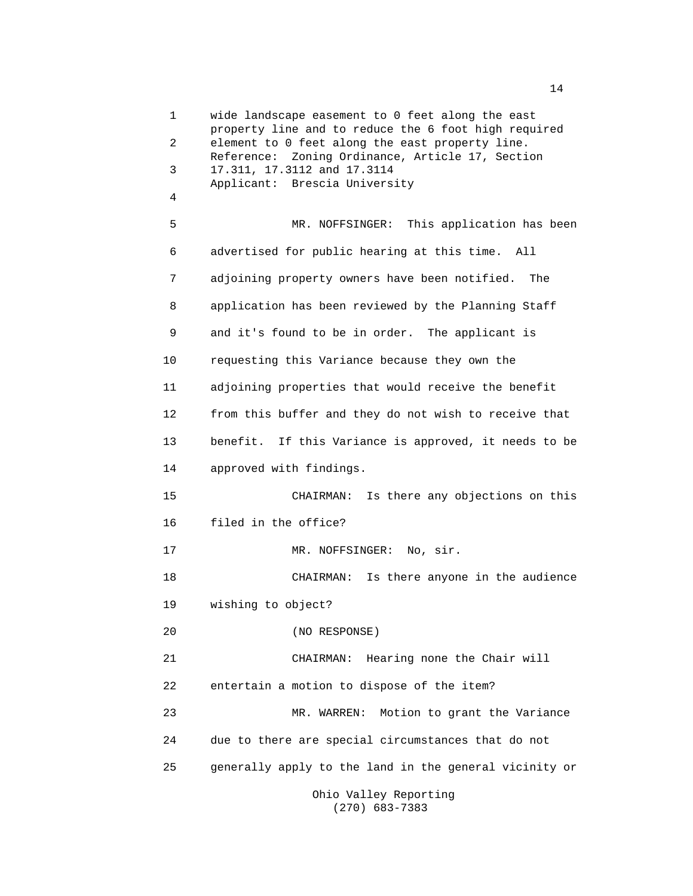1 wide landscape easement to 0 feet along the east property line and to reduce the 6 foot high required 2 element to 0 feet along the east property line. Reference: Zoning Ordinance, Article 17, Section 3 17.311, 17.3112 and 17.3114 Applicant: Brescia University 4 5 MR. NOFFSINGER: This application has been 6 advertised for public hearing at this time. All 7 adjoining property owners have been notified. The 8 application has been reviewed by the Planning Staff 9 and it's found to be in order. The applicant is 10 requesting this Variance because they own the 11 adjoining properties that would receive the benefit 12 from this buffer and they do not wish to receive that 13 benefit. If this Variance is approved, it needs to be 14 approved with findings. 15 CHAIRMAN: Is there any objections on this 16 filed in the office? 17 MR. NOFFSINGER: No, sir. 18 CHAIRMAN: Is there anyone in the audience 19 wishing to object? 20 (NO RESPONSE) 21 CHAIRMAN: Hearing none the Chair will 22 entertain a motion to dispose of the item? 23 MR. WARREN: Motion to grant the Variance 24 due to there are special circumstances that do not 25 generally apply to the land in the general vicinity or Ohio Valley Reporting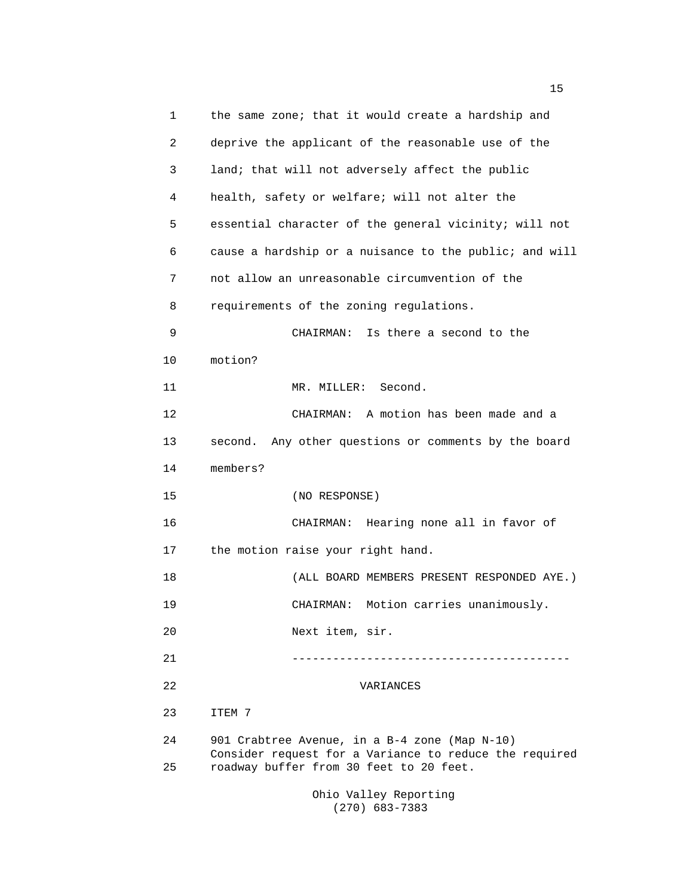1 the same zone; that it would create a hardship and 2 deprive the applicant of the reasonable use of the 3 land; that will not adversely affect the public 4 health, safety or welfare; will not alter the 5 essential character of the general vicinity; will not 6 cause a hardship or a nuisance to the public; and will 7 not allow an unreasonable circumvention of the 8 requirements of the zoning regulations. 9 CHAIRMAN: Is there a second to the 10 motion? 11 MR. MILLER: Second. 12 CHAIRMAN: A motion has been made and a 13 second. Any other questions or comments by the board 14 members? 15 (NO RESPONSE) 16 CHAIRMAN: Hearing none all in favor of 17 the motion raise your right hand. 18 (ALL BOARD MEMBERS PRESENT RESPONDED AYE.) 19 CHAIRMAN: Motion carries unanimously. 20 Next item, sir. 21 ----------------------------------------- 22 VARIANCES 23 ITEM 7 24 901 Crabtree Avenue, in a B-4 zone (Map N-10) Consider request for a Variance to reduce the required 25 roadway buffer from 30 feet to 20 feet. Ohio Valley Reporting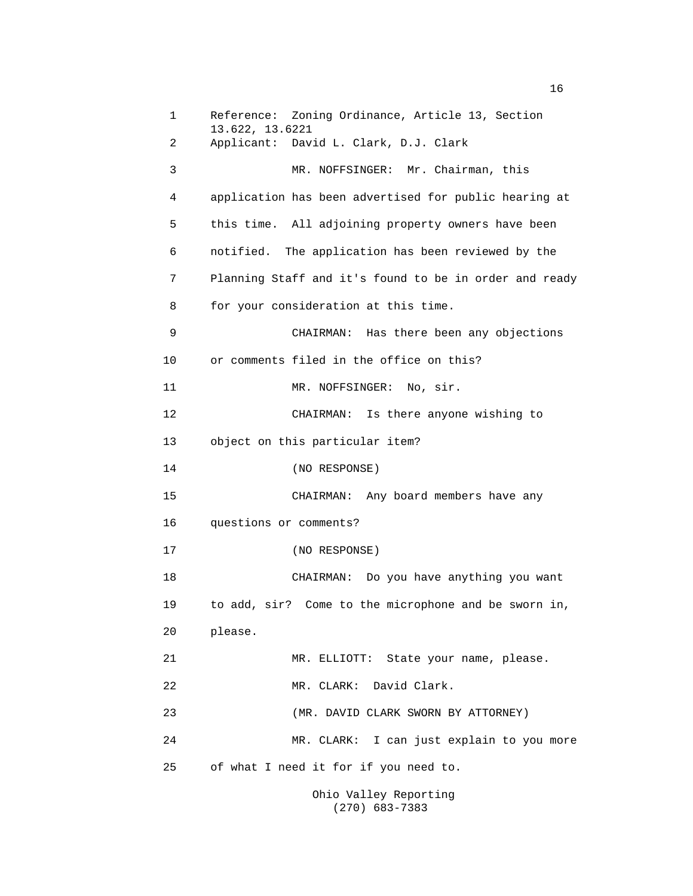1 Reference: Zoning Ordinance, Article 13, Section 13.622, 13.6221 2 Applicant: David L. Clark, D.J. Clark 3 MR. NOFFSINGER: Mr. Chairman, this 4 application has been advertised for public hearing at 5 this time. All adjoining property owners have been 6 notified. The application has been reviewed by the 7 Planning Staff and it's found to be in order and ready 8 for your consideration at this time. 9 CHAIRMAN: Has there been any objections 10 or comments filed in the office on this? 11 MR. NOFFSINGER: No, sir. 12 CHAIRMAN: Is there anyone wishing to 13 object on this particular item? 14 (NO RESPONSE) 15 CHAIRMAN: Any board members have any 16 questions or comments? 17 (NO RESPONSE) 18 CHAIRMAN: Do you have anything you want 19 to add, sir? Come to the microphone and be sworn in, 20 please. 21 MR. ELLIOTT: State your name, please. 22 MR. CLARK: David Clark. 23 (MR. DAVID CLARK SWORN BY ATTORNEY) 24 MR. CLARK: I can just explain to you more 25 of what I need it for if you need to.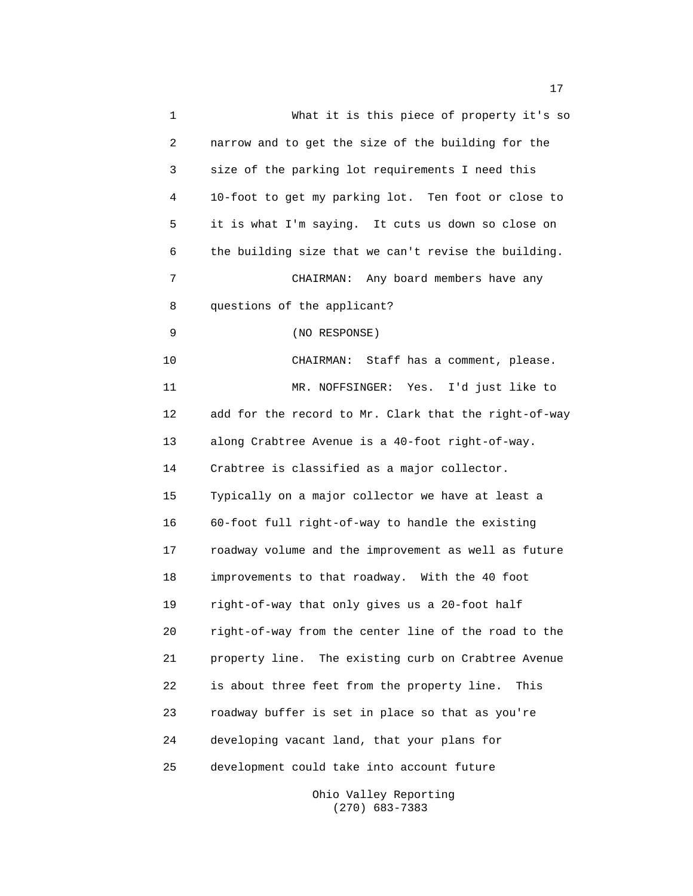1 What it is this piece of property it's so 2 narrow and to get the size of the building for the 3 size of the parking lot requirements I need this 4 10-foot to get my parking lot. Ten foot or close to 5 it is what I'm saying. It cuts us down so close on 6 the building size that we can't revise the building. 7 CHAIRMAN: Any board members have any 8 questions of the applicant? 9 (NO RESPONSE) 10 CHAIRMAN: Staff has a comment, please. 11 MR. NOFFSINGER: Yes. I'd just like to 12 add for the record to Mr. Clark that the right-of-way 13 along Crabtree Avenue is a 40-foot right-of-way. 14 Crabtree is classified as a major collector. 15 Typically on a major collector we have at least a 16 60-foot full right-of-way to handle the existing 17 roadway volume and the improvement as well as future 18 improvements to that roadway. With the 40 foot 19 right-of-way that only gives us a 20-foot half 20 right-of-way from the center line of the road to the 21 property line. The existing curb on Crabtree Avenue 22 is about three feet from the property line. This 23 roadway buffer is set in place so that as you're 24 developing vacant land, that your plans for 25 development could take into account future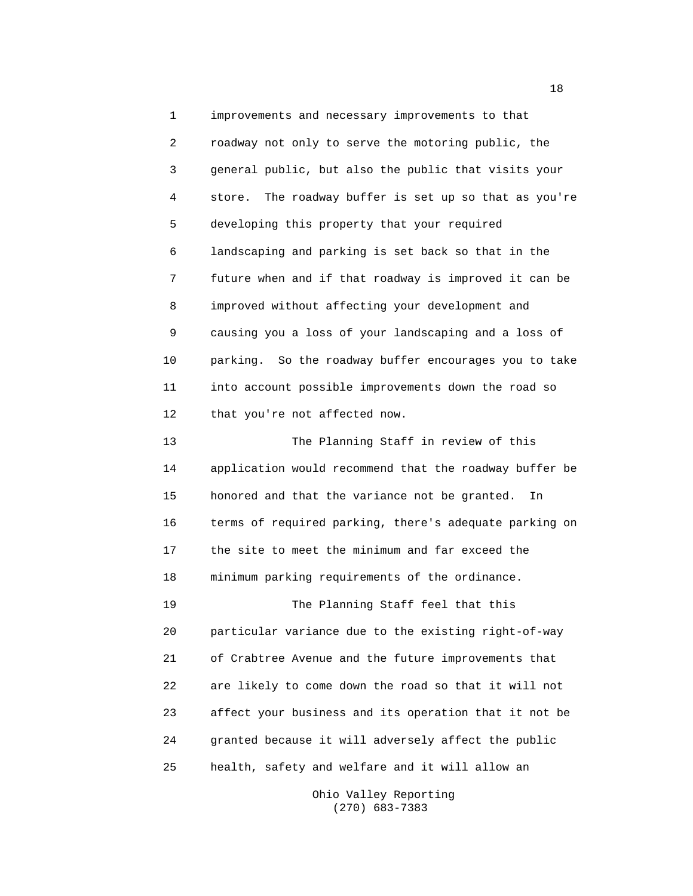1 improvements and necessary improvements to that 2 roadway not only to serve the motoring public, the 3 general public, but also the public that visits your 4 store. The roadway buffer is set up so that as you're 5 developing this property that your required 6 landscaping and parking is set back so that in the 7 future when and if that roadway is improved it can be 8 improved without affecting your development and 9 causing you a loss of your landscaping and a loss of 10 parking. So the roadway buffer encourages you to take 11 into account possible improvements down the road so 12 that you're not affected now.

13 The Planning Staff in review of this 14 application would recommend that the roadway buffer be 15 honored and that the variance not be granted. In 16 terms of required parking, there's adequate parking on 17 the site to meet the minimum and far exceed the 18 minimum parking requirements of the ordinance. 19 The Planning Staff feel that this 20 particular variance due to the existing right-of-way 21 of Crabtree Avenue and the future improvements that 22 are likely to come down the road so that it will not

24 granted because it will adversely affect the public 25 health, safety and welfare and it will allow an

23 affect your business and its operation that it not be

Ohio Valley Reporting (270) 683-7383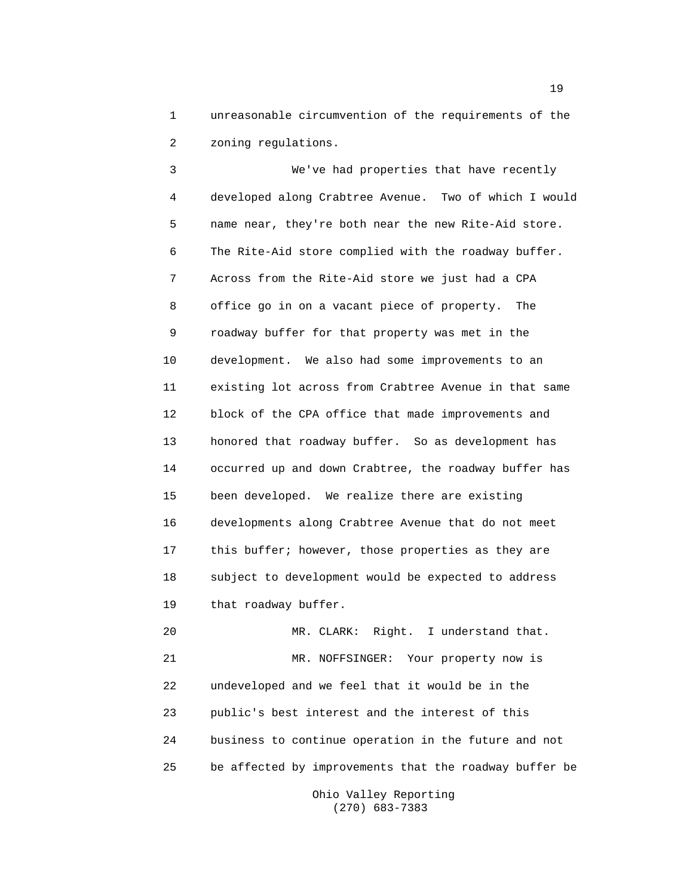1 unreasonable circumvention of the requirements of the 2 zoning regulations.

3 We've had properties that have recently 4 developed along Crabtree Avenue. Two of which I would 5 name near, they're both near the new Rite-Aid store. 6 The Rite-Aid store complied with the roadway buffer. 7 Across from the Rite-Aid store we just had a CPA 8 office go in on a vacant piece of property. The 9 roadway buffer for that property was met in the 10 development. We also had some improvements to an 11 existing lot across from Crabtree Avenue in that same 12 block of the CPA office that made improvements and 13 honored that roadway buffer. So as development has 14 occurred up and down Crabtree, the roadway buffer has 15 been developed. We realize there are existing 16 developments along Crabtree Avenue that do not meet 17 this buffer; however, those properties as they are 18 subject to development would be expected to address 19 that roadway buffer.

20 MR. CLARK: Right. I understand that. 21 MR. NOFFSINGER: Your property now is 22 undeveloped and we feel that it would be in the 23 public's best interest and the interest of this 24 business to continue operation in the future and not 25 be affected by improvements that the roadway buffer be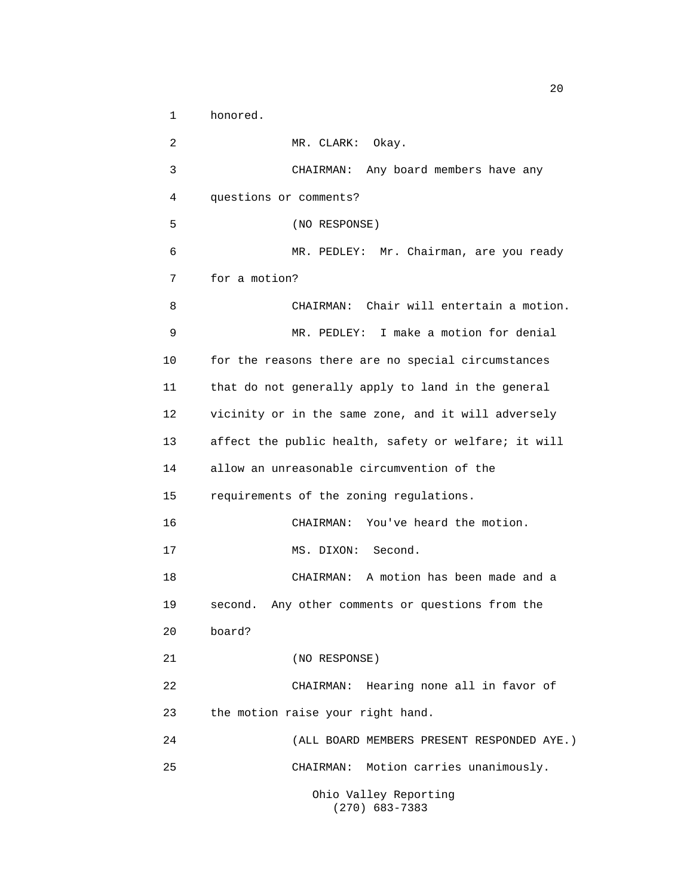1 honored.

2 MR. CLARK: Okay. 3 CHAIRMAN: Any board members have any 4 questions or comments? 5 (NO RESPONSE) 6 MR. PEDLEY: Mr. Chairman, are you ready 7 for a motion? 8 CHAIRMAN: Chair will entertain a motion. 9 MR. PEDLEY: I make a motion for denial 10 for the reasons there are no special circumstances 11 that do not generally apply to land in the general 12 vicinity or in the same zone, and it will adversely 13 affect the public health, safety or welfare; it will 14 allow an unreasonable circumvention of the 15 requirements of the zoning regulations. 16 CHAIRMAN: You've heard the motion. 17 MS. DIXON: Second. 18 CHAIRMAN: A motion has been made and a 19 second. Any other comments or questions from the 20 board? 21 (NO RESPONSE) 22 CHAIRMAN: Hearing none all in favor of 23 the motion raise your right hand. 24 (ALL BOARD MEMBERS PRESENT RESPONDED AYE.) 25 CHAIRMAN: Motion carries unanimously. Ohio Valley Reporting (270) 683-7383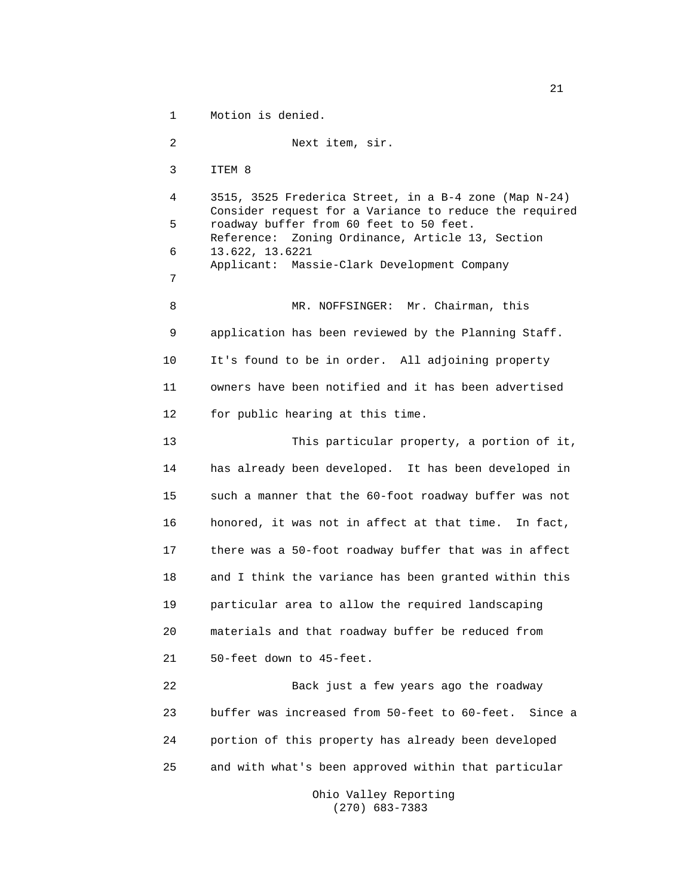1 Motion is denied. 2 Next item, sir. 3 ITEM 8 4 3515, 3525 Frederica Street, in a B-4 zone (Map N-24) Consider request for a Variance to reduce the required 5 roadway buffer from 60 feet to 50 feet. Reference: Zoning Ordinance, Article 13, Section 6 13.622, 13.6221 Applicant: Massie-Clark Development Company 7 8 MR. NOFFSINGER: Mr. Chairman, this 9 application has been reviewed by the Planning Staff. 10 It's found to be in order. All adjoining property 11 owners have been notified and it has been advertised 12 for public hearing at this time. 13 This particular property, a portion of it, 14 has already been developed. It has been developed in 15 such a manner that the 60-foot roadway buffer was not 16 honored, it was not in affect at that time. In fact, 17 there was a 50-foot roadway buffer that was in affect 18 and I think the variance has been granted within this 19 particular area to allow the required landscaping 20 materials and that roadway buffer be reduced from 21 50-feet down to 45-feet. 22 Back just a few years ago the roadway 23 buffer was increased from 50-feet to 60-feet. Since a 24 portion of this property has already been developed 25 and with what's been approved within that particular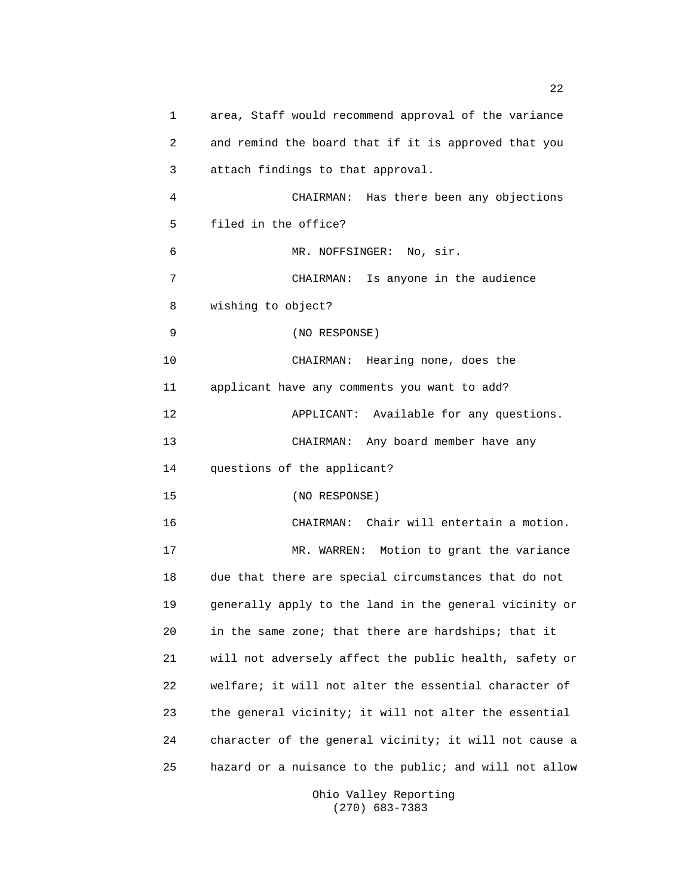1 area, Staff would recommend approval of the variance 2 and remind the board that if it is approved that you 3 attach findings to that approval. 4 CHAIRMAN: Has there been any objections 5 filed in the office? 6 MR. NOFFSINGER: No, sir. 7 CHAIRMAN: Is anyone in the audience 8 wishing to object? 9 (NO RESPONSE) 10 CHAIRMAN: Hearing none, does the 11 applicant have any comments you want to add? 12 APPLICANT: Available for any questions. 13 CHAIRMAN: Any board member have any 14 questions of the applicant? 15 (NO RESPONSE) 16 CHAIRMAN: Chair will entertain a motion. 17 MR. WARREN: Motion to grant the variance 18 due that there are special circumstances that do not 19 generally apply to the land in the general vicinity or 20 in the same zone; that there are hardships; that it 21 will not adversely affect the public health, safety or 22 welfare; it will not alter the essential character of 23 the general vicinity; it will not alter the essential 24 character of the general vicinity; it will not cause a 25 hazard or a nuisance to the public; and will not allow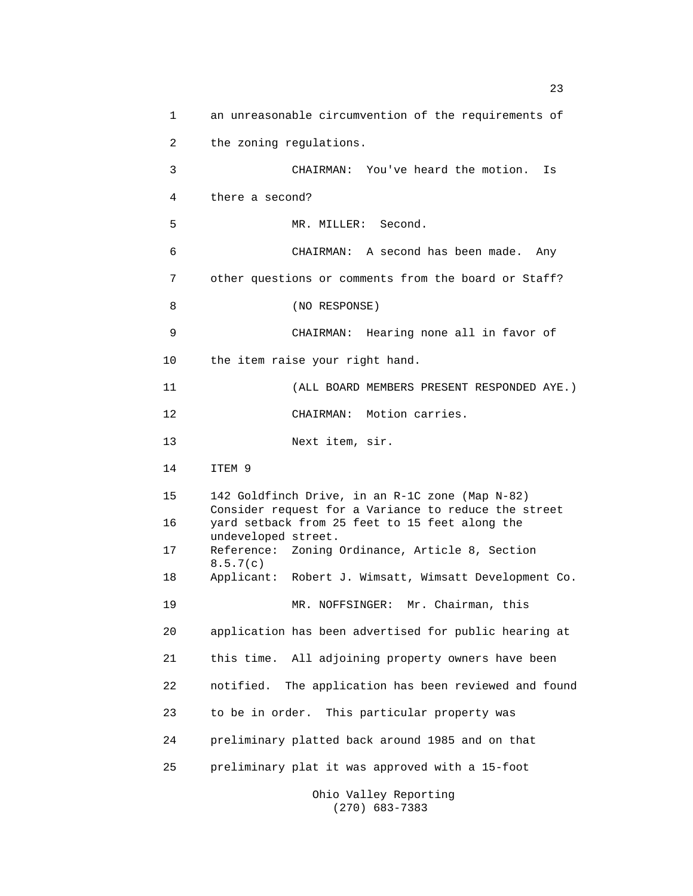1 an unreasonable circumvention of the requirements of 2 the zoning regulations. 3 CHAIRMAN: You've heard the motion. Is 4 there a second? 5 MR. MILLER: Second. 6 CHAIRMAN: A second has been made. Any 7 other questions or comments from the board or Staff? 8 (NO RESPONSE) 9 CHAIRMAN: Hearing none all in favor of 10 the item raise your right hand. 11 (ALL BOARD MEMBERS PRESENT RESPONDED AYE.) 12 CHAIRMAN: Motion carries. 13 Next item, sir. 14 ITEM 9 15 142 Goldfinch Drive, in an R-1C zone (Map N-82) Consider request for a Variance to reduce the street 16 yard setback from 25 feet to 15 feet along the undeveloped street. 17 Reference: Zoning Ordinance, Article 8, Section 8.5.7(c) 18 Applicant: Robert J. Wimsatt, Wimsatt Development Co. 19 MR. NOFFSINGER: Mr. Chairman, this 20 application has been advertised for public hearing at 21 this time. All adjoining property owners have been 22 notified. The application has been reviewed and found 23 to be in order. This particular property was 24 preliminary platted back around 1985 and on that 25 preliminary plat it was approved with a 15-foot Ohio Valley Reporting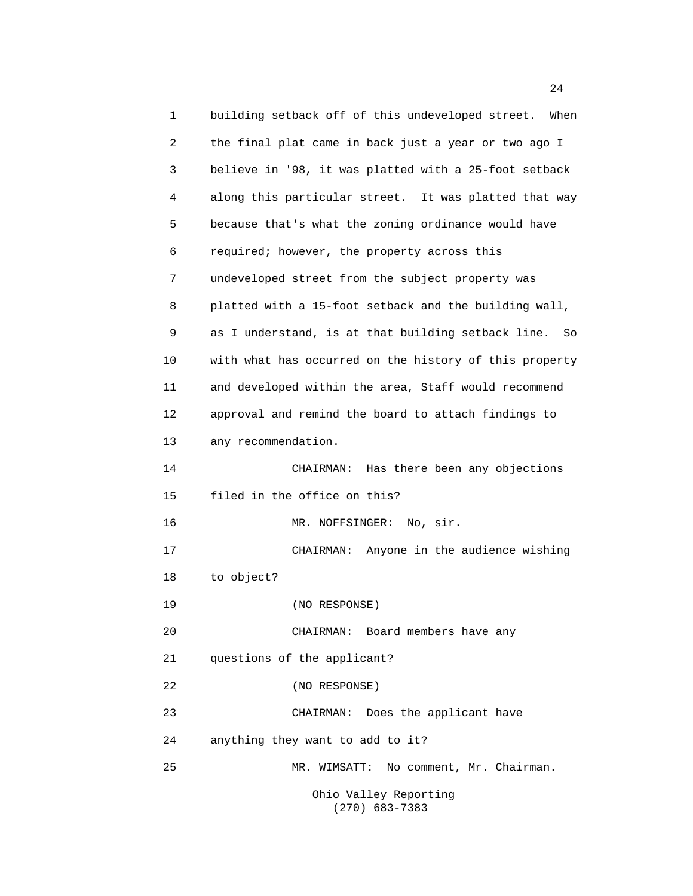1 building setback off of this undeveloped street. When 2 the final plat came in back just a year or two ago I 3 believe in '98, it was platted with a 25-foot setback 4 along this particular street. It was platted that way 5 because that's what the zoning ordinance would have 6 required; however, the property across this 7 undeveloped street from the subject property was 8 platted with a 15-foot setback and the building wall, 9 as I understand, is at that building setback line. So 10 with what has occurred on the history of this property 11 and developed within the area, Staff would recommend 12 approval and remind the board to attach findings to 13 any recommendation. 14 CHAIRMAN: Has there been any objections 15 filed in the office on this? 16 MR. NOFFSINGER: No, sir. 17 CHAIRMAN: Anyone in the audience wishing 18 to object? 19 (NO RESPONSE) 20 CHAIRMAN: Board members have any 21 questions of the applicant? 22 (NO RESPONSE) 23 CHAIRMAN: Does the applicant have 24 anything they want to add to it? 25 MR. WIMSATT: No comment, Mr. Chairman. Ohio Valley Reporting (270) 683-7383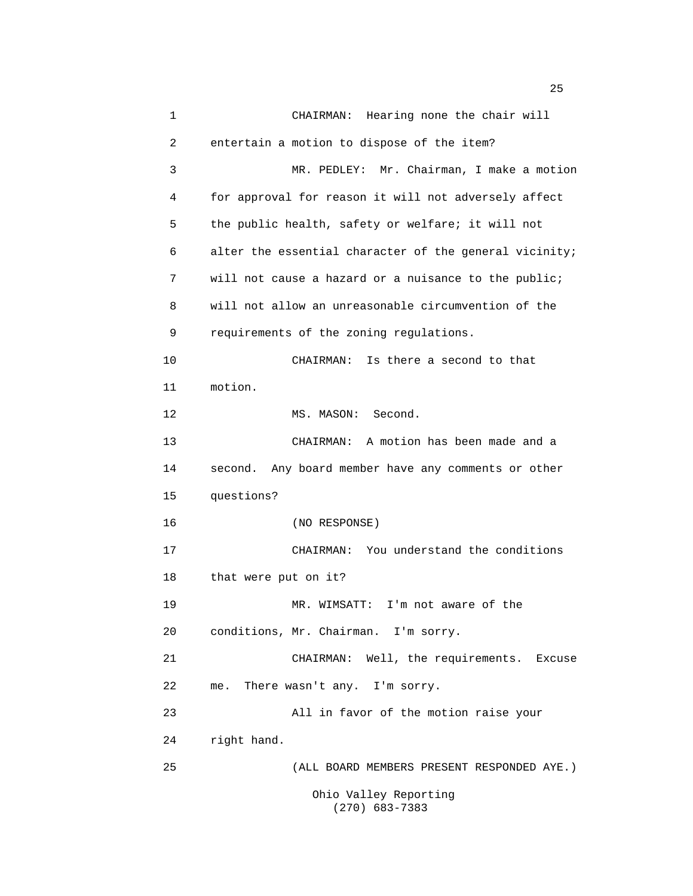1 CHAIRMAN: Hearing none the chair will 2 entertain a motion to dispose of the item? 3 MR. PEDLEY: Mr. Chairman, I make a motion 4 for approval for reason it will not adversely affect 5 the public health, safety or welfare; it will not 6 alter the essential character of the general vicinity; 7 will not cause a hazard or a nuisance to the public; 8 will not allow an unreasonable circumvention of the 9 requirements of the zoning regulations. 10 CHAIRMAN: Is there a second to that 11 motion. 12 MS. MASON: Second. 13 CHAIRMAN: A motion has been made and a 14 second. Any board member have any comments or other 15 questions? 16 (NO RESPONSE) 17 CHAIRMAN: You understand the conditions 18 that were put on it? 19 MR. WIMSATT: I'm not aware of the 20 conditions, Mr. Chairman. I'm sorry. 21 CHAIRMAN: Well, the requirements. Excuse 22 me. There wasn't any. I'm sorry. 23 All in favor of the motion raise your 24 right hand. 25 (ALL BOARD MEMBERS PRESENT RESPONDED AYE.) Ohio Valley Reporting (270) 683-7383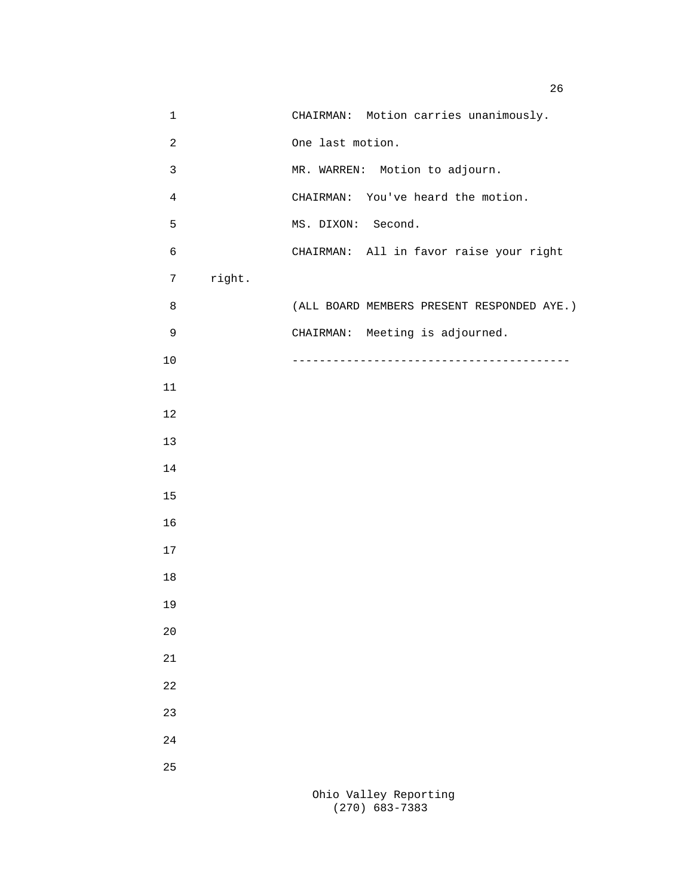| $\mathbf 1$      |        | CHAIRMAN: Motion carries unanimously.      |
|------------------|--------|--------------------------------------------|
| $\sqrt{2}$       |        | One last motion.                           |
| $\mathbf{3}$     |        | MR. WARREN: Motion to adjourn.             |
| $\overline{4}$   |        | CHAIRMAN: You've heard the motion.         |
| 5                |        | MS. DIXON: Second.                         |
| $\epsilon$       |        | CHAIRMAN: All in favor raise your right    |
| $\boldsymbol{7}$ | right. |                                            |
| $\,8\,$          |        | (ALL BOARD MEMBERS PRESENT RESPONDED AYE.) |
| $\mathsf 9$      |        | CHAIRMAN: Meeting is adjourned.            |
| $10$             |        |                                            |
| 11               |        |                                            |
| $12$             |        |                                            |
| 13               |        |                                            |
| 14               |        |                                            |
| 15               |        |                                            |
| 16               |        |                                            |
| $17$             |        |                                            |
| $18\,$           |        |                                            |
| 19               |        |                                            |
| 20               |        |                                            |
| 21               |        |                                            |
| 22               |        |                                            |
| 23               |        |                                            |
| 24               |        |                                            |
| 25               |        |                                            |
|                  |        | Ohio Valley Reporting                      |